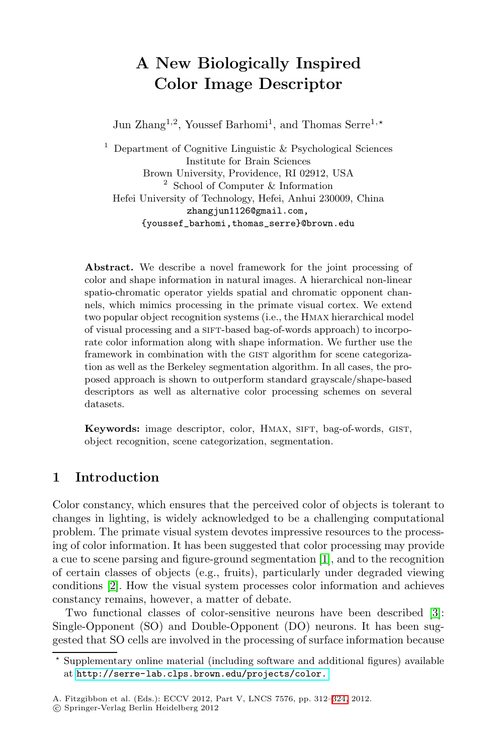# **A New Biologically Inspired Color Image Descriptor**

Jun Zhang<sup>1,2</sup>, Youssef Barhomi<sup>1</sup>, and Thomas Serre<sup>1,\*</sup>

<sup>1</sup> Department of Cognitive Linguistic  $&$  Psychological Sciences Institute for Brain Sciences Brown University, Providence, RI 02912, USA <sup>2</sup> School of Computer & Information Hefei University of Technology, Hefei, Anhui 230009, China zhangjun1126@gmail.com, {youssef\_barhomi,thomas\_serre}@brown.edu

**Abstract.** We describe a novel framework for the joint processing of color and shape information in natural images. A hierarchical non-linear spatio-chromatic operator yields spatial and chromatic opponent channels, which mimics processing in the primate visual cortex. We extend two popular object recognition systems (i.e., the Hmax hierarchical model of visual processing and a sift-based bag-of-words approach) to incorporate color information along with shape information. We further use the framework in combination with the GIST algorithm for scene categorization as well as the Berkeley segmentation algorithm. In all cases, the proposed approach is shown to outperform standard grayscale/shape-based descriptors as well as alternative color processing schemes on several datasets.

Keywords: image descriptor, color, HMAX, SIFT, bag-of-words, GIST, object recognition, scene categorization, segmentation.

# **1 Introduction**

Color constancy, which ensures that the perceived color of [ob](#page-11-0)jects is tolerant to changes in lighting, is widely acknowledged to be a challenging computational problem. The primate visual system devotes impressive resources to the processing of color information. It has been suggested that color processing may provide a cue to scene parsing and figure-ground segmentation [1], and to the recognition [of certain classes of objects \(e.g., frui](http://serre-lab.clps.brown.edu/projects/color.)ts), particularly under degraded viewing conditions [2]. How the visual system processes color information and achieves constancy remains, however, a matter [of](#page-12-0) [d](#page-12-0)ebate.

Two functional classes of color-sensitive neurons have been described [3]: Single-Opponent (SO) and Double-Opponent (DO) neurons. It has been suggested that SO cells are involved in the processing of surface information because

 $\star$  Supplementary online material (including software and additional figures) available at http://serre-lab.clps.brown.edu/projects/color.

A. Fitzgibbon et al. (Eds.): ECCV 2012, Part V, LNCS 7576, pp. 312–324, 2012.

<sup>-</sup>c Springer-Verlag Berlin Heidelberg 2012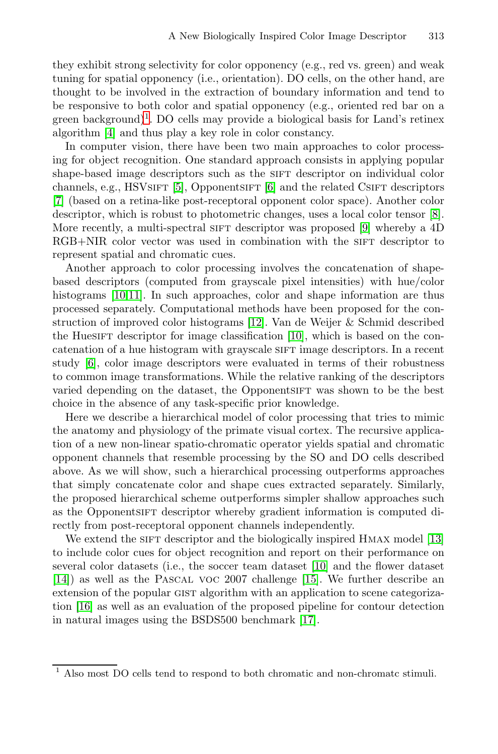they exhibit strong selectivity for color opponency (e.g., red vs. green) and weak tuning [fo](#page-11-1)r spatial oppone[nc](#page-11-2)y (i.e., orientation). DO cells, on the other hand, are thought to be involved in the extraction of boundary information and tend to be responsive to both color and spatial opponency (e.g., [orie](#page-11-3)nted red bar on a green background)<sup>1</sup>. DO cells may provide [a b](#page-11-4)iological basis for Land's retinex algorithm [4] and thus play a key role in color constancy.

In computer vision, there have been two main approaches to color processing for object recognition. One standard approach consists in applying popular shape-based image descriptors such as the SIFT descriptor on individual color channels, e.g., HSVsIFT  $[5]$ , OpponentsIFT  $[6]$  and the related CSIFT descriptors [7] (based on a retina-like post-receptoral opponent color space). Another color descriptor, which is r[obus](#page-11-5)t to photometric changes, uses a local color tensor [8]. More recently, a multi-spectr[al](#page-11-6) SIFT descriptor was proposed [9] whereby a 4D RGB+NIR color vector was used in combination with the SIFT descriptor to represent spatial and chromatic cues.

Another approach to color processing involves the concatenation of shapebased descriptors (computed from grayscale pixel intensities) with hue/color histograms [10,11]. In such approaches, color and shape information are thus processed separately. Computational methods have been proposed for the construction of improved color histograms [12]. Van de Weijer & Schmid described the HuesiFT descriptor for image classification  $[10]$ , which is based on the concatenation of a hue histogram with grayscale sight image descriptors. In a recent study [6], color image descriptors were evaluated in terms of their robustness to common image transformations. While the relative ranking of the descriptors varied depending on the dataset, the Opponentsift was shown to be the best choice in the absence of any task-specific prior knowledge.

Here we describe a hierarchical model of color processing that tries to mimic the anatomy and physiology of the primate visual cortex. [The](#page-11-7) recursive application of a new non-linear spatio-chromatic operator yields spatial and chromatic opponent channels that resemble [proc](#page-11-6)essing by the SO and DO cells described above. As we will show, such a [hier](#page-11-8)archical processing outperforms approaches that simply concatenate color and shape cues extracted separately. Similarly, the proposed hierarchical scheme outperforms simpler shallow approaches such as the Opponentsift descriptor [wh](#page-12-1)ereby gradient information is computed directly from post-receptoral opponent channels independently.

We extend the sign descriptor and the biologically inspired HMAX model [13] to include color cues for object recognition and report on their performance on several color datasets (i.e., the soccer team dataset [10] and the flower dataset [14]) as well as the Pascal voc 2007 challenge [15]. We further describe an extension of the popular GIST algorithm with an application to scene categorization [16] as well as an evaluation of the proposed pipeline for contour detection in natural images using the BSDS500 benchmark [17].

 $^{\rm 1}$  Also most DO cells tend to respond to both chromatic and non-chromatc stimuli.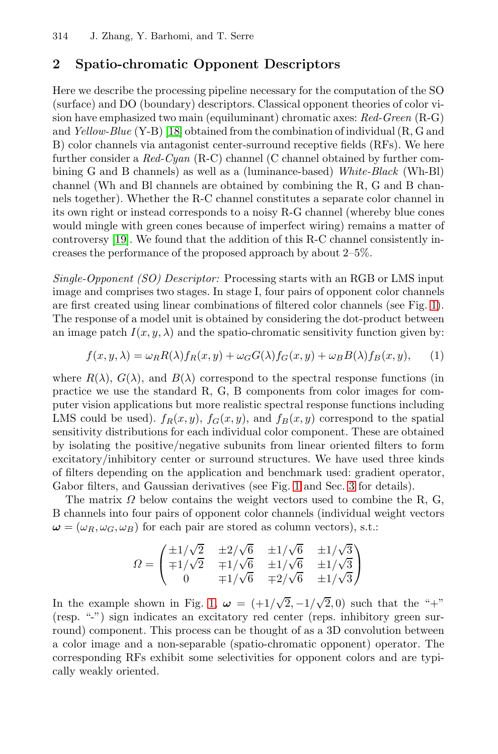# **2 Spatio-chromatic Opponent Descriptors**

Here we describe the processing pipeline necessary for the computation of the SO (surface) and DO (boundary) descriptors. Classical opponent theories of color vision have emphasized two main (equiluminant) chromatic axes: *Red-Green* (R-G) and *Yellow-Blue* (Y-B) [18] obtained from the combination of individual (R, G and B) color channels via antagonist center-surround receptive fields (RFs). We here further consider a *Red-Cyan* (R-C) channel (C channel obtained by further combining G and B channels) as well as a (luminance-based) *White-Black* (Wh-Bl) channel (Wh and Bl channels are obtained by combining the R, G and B channels together). Whether the R-C channel constitutes a sep[ara](#page-3-0)te color channel in its own right or instead corresponds to a noisy R-G channel (whereby blue cones would mingle with green cones because of imperfect wiring) remains a matter of controversy [19]. We found that the addition of this R-C channel consistently increases the performance of the proposed approach by about 2–5%.

*Single-Opponent (SO) Descriptor:* Processing starts with an RGB or LMS input image and comprises two stages. In stage I, four pairs of opponent color channels are first created using linear combinations of filtered color channels (see Fig. 1). The response of a model unit is obtained by considering the dot-product between an image patch  $I(x, y, \lambda)$  and the spatio-chromatic sensitivity function given by:

$$
f(x, y, \lambda) = \omega_R R(\lambda) f_R(x, y) + \omega_G G(\lambda) f_G(x, y) + \omega_B B(\lambda) f_B(x, y), \quad (1)
$$

where  $R(\lambda)$ ,  $G(\lambda)$ , and  $B(\lambda)$  c[or](#page-3-0)respond [to](#page-6-0) the spectral response functions (in practice we use the standard R, G, B components from color images for computer vision applications but more realistic spectral response functions including LMS could be used).  $f_R(x, y)$ ,  $f_G(x, y)$ , and  $f_B(x, y)$  correspond to the spatial sensitivity distributions for each individual color component. These are obtained by isolating the positive/negative subunits from linear oriented filters to form excitatory/inhibitory center or surround structures. We have used three kinds of filters depending on the application and benchmark used: gradient operator, Gabor filters, and Gaussian derivatives (see Fig. 1 and Sec. 3 for details).

The matri[x](#page-3-0)  $\Omega$  below contains the weight vectors used to combine the R, G, B channels into four pairs of opponent color channels (individual weight vectors  $\omega = (\omega_R, \omega_G, \omega_B)$  for each pair are stored as column vectors), s.t.:

$$
\Omega = \begin{pmatrix} \pm 1/\sqrt{2} & \pm 2/\sqrt{6} & \pm 1/\sqrt{6} & \pm 1/\sqrt{3} \\ \mp 1/\sqrt{2} & \mp 1/\sqrt{6} & \pm 1/\sqrt{6} & \pm 1/\sqrt{3} \\ 0 & \mp 1/\sqrt{6} & \mp 2/\sqrt{6} & \pm 1/\sqrt{3} \end{pmatrix}
$$

In the example shown in Fig. 1,  $\omega = \left(\frac{+1}{\sqrt{2}}, -\frac{1}{\sqrt{2}}, 0\right)$  such that the "+" (resp. "-") sign indicates an excitatory red center (reps. inhibitory green surround) component. This process can be thought of as a 3D convolution between a color image and a non-separable (spatio-chromatic opponent) operator. The corresponding RFs exhibit some selectivities for opponent colors and are typically weakly oriented.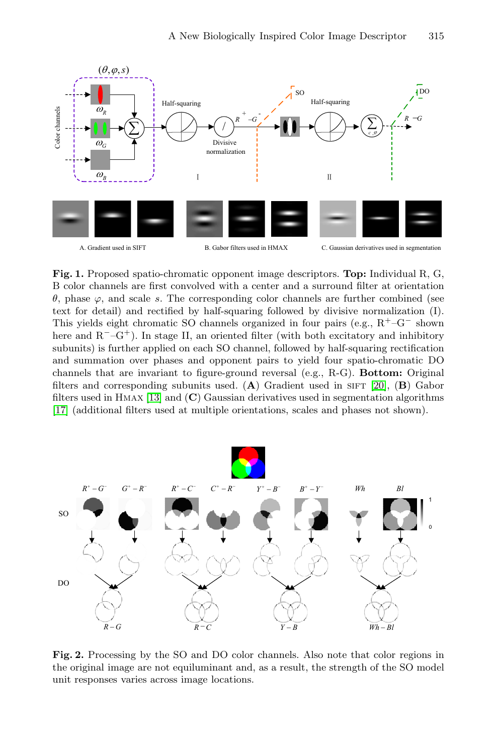<span id="page-3-0"></span>

**Fig. 1.** Proposed spatio-chromatic opponent image descriptors. **Top:** Individual R, G, B color channels are first convolved with a center [and](#page-12-3) a surround filter at orientation θ[,](#page-11-7) [ph](#page-11-7)ase ϕ, and scale s. The corresponding color channels are further combined (see text for detail) and rectified by half-squaring followed by divisive normalization (I). This yields eight chromatic SO channels organized in four pairs (e.g., R<sup>+</sup>–G*<sup>−</sup>* shown here and R*−*–G<sup>+</sup>). In stage II, an oriented filter (with both excitatory and inhibitory subunits) is further applied on each SO channel, followed by half-squaring rectification and summation over phases and opponent pairs to yield four spatio-chromatic DO channels that are invariant to figure-ground reversal (e.g., R-G). **Bottom:** Original filters and corresponding subunits used.  $(A)$  Gradient used in SIFT [20],  $(B)$  Gabor filters used in Hmax [13] and (**C**) Gaussian derivatives used in segmentation algorithms [17] (additional filters used at multiple orientations, scales and phases not shown).



**Fig. 2.** Processing by the SO and DO color channels. Also note that color regions in the original image are not equiluminant and, as a result, the strength of the SO model unit responses varies across image locations.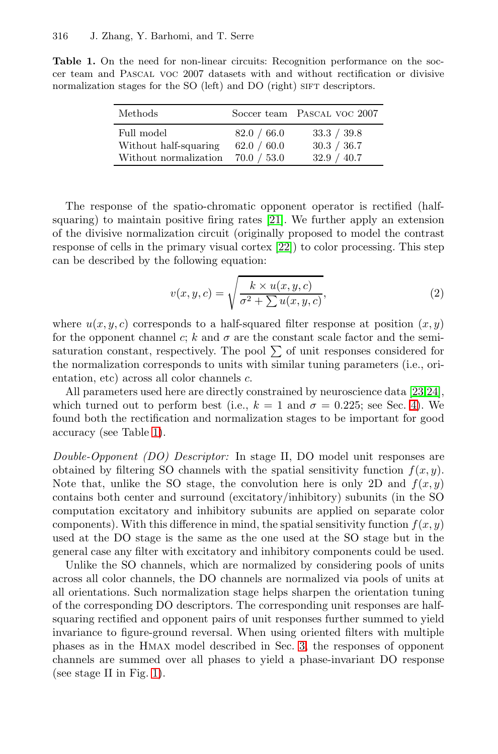<span id="page-4-0"></span>**Table 1.** On the need for non-linear circuits: Recognition performance on the soccer team and Pascal voc 2007 datasets with and without rectification or divisive normalization stages for the SO (left) and DO (right) SIFT descriptors.

| Methods               |             | Soccer team PASCAL VOC 2007 |
|-----------------------|-------------|-----------------------------|
| Full model            | 82.0 / 66.0 | 33.3 / 39.8                 |
| Without half-squaring | 62.0 / 60.0 | 30.3 / 36.7                 |
| Without normalization | 70.0 / 53.0 | 32.9 / 40.7                 |

The response of the spatio-chromatic opponent operator is rectified (halfsquaring) to maintain positive firing rates [21]. We further apply an extension of the divisive normalization circuit (originally proposed to model the contrast response of cells in the primary visual cortex [22]) to color processing. This step can be described by the following equation:

$$
v(x, y, c) = \sqrt{\frac{k \times u(x, y, c)}{\sigma^2 + \sum u(x, y, c)}},
$$
\n(2)

w[he](#page-4-0)re  $u(x, y, c)$  corresponds to a half-squared filter response at position  $(x, y)$ for the opponent channel c; k and  $\sigma$  are the constant scale factor and the semisaturation constant, respectively. The pool  $\Sigma$  of unit responses considered for the normalization corresponds to units with similar tuning parameters (i.e., orientation, etc) across all color channels c.

All parameters used here are directly constrained by neuroscience data [23,24], which turned out to perform best (i.e.,  $k = 1$  and  $\sigma = 0.225$ ; see Sec. 4). We found both the rectification and normalization stages to be important for good accuracy (see Table 1).

*Double-Opponent (DO) Descriptor:* In stage II, DO model unit responses are obtained by filtering SO channels with the spatial sensitivity function  $f(x, y)$ . Note that, unlike the SO stage, the convolution here is only 2D and  $f(x, y)$ contains both center and surround (excitatory/inhibitory) subunits (in the SO computation excitatory and inhibitory subunits are applied on separate color components). With this difference in mind, the spatial sensitivity function  $f(x, y)$ used at the DO stage is the sa[me](#page-6-0) as the one used at the SO stage but in the general case any filter with excitatory and inhibitory components could be used.

[U](#page-3-0)nlike the SO channels, which are normalized by considering pools of units across all color channels, the DO channels are normalized via pools of units at all orientations. Such normalization stage helps sharpen the orientation tuning of the corresponding DO descriptors. The corresponding unit responses are halfsquaring rectified and opponent pairs of unit responses further summed to yield invariance to figure-ground reversal. When using oriented filters with multiple phases as in the Hmax model described in Sec. 3, the responses of opponent channels are summed over all phases to yield a phase-invariant DO response (see stage II in Fig. 1).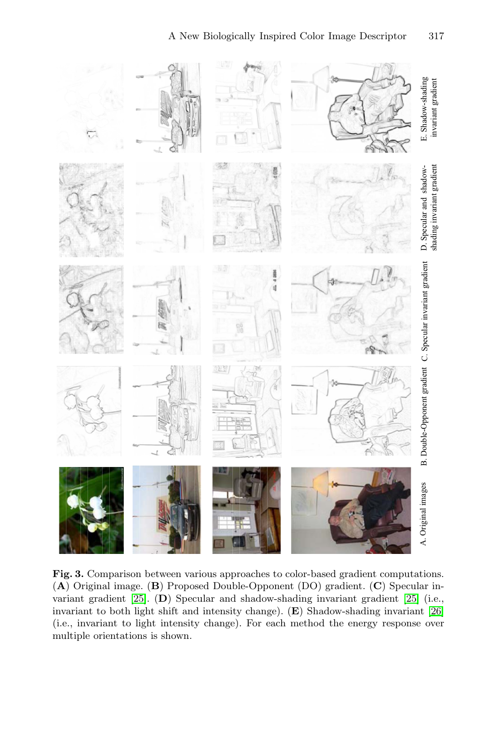

**Fig. 3.** Comparison between various approaches to color-based gradient computations. (**A**) Original image. (**B**) Proposed Double-Opponent (DO) gradient. (**C**) Specular invariant gradient [25]. (**D**) Specular and shadow-shading invariant gradient [25] (i.e., invariant to both light shift and intensity change). (**E**) Shadow-shading invariant [26] (i.e., invariant to light intensity change). For each method the energy response over multiple orientations is shown.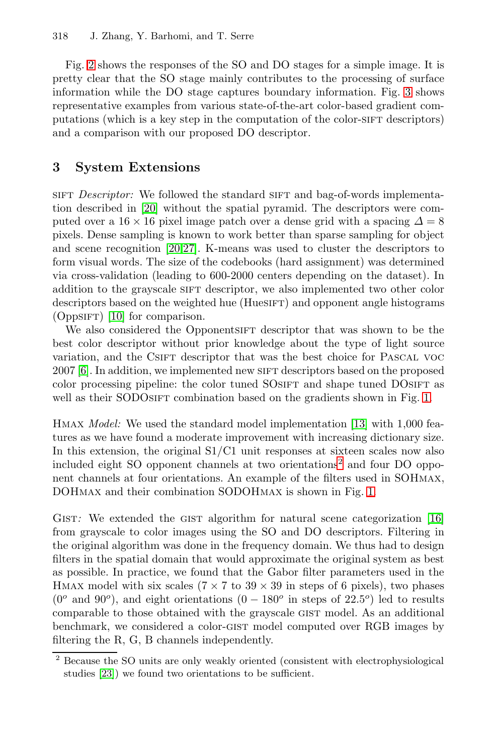<span id="page-6-0"></span>Fig. 2 shows the responses of the SO and DO stages for a simple image. It is pretty clear that the SO stage mainly contributes to the processing of surface information while the DO stage captures boundary information. Fig. 3 shows [rep](#page-12-3)resentative examples from various state-of-the-art color-based gradient computations (which is a key step in the computation of the color-SIFT descriptors) and a comparison with our proposed DO descriptor.

# **3 System Extensions**

sift *Descriptor:* We followed the standard sift and bag-of-words implementation described in [20] without the spatial pyramid. The descriptors were computed over a  $16 \times 16$  pixel image patch over a dense grid with a spacing  $\Delta = 8$ pixels. Dense sampling is known to work better than sparse sampling for object and scene recognition [20,27]. K-means was used to cluster the descriptors to form visual words. The size of the codebooks (hard assignment) was determined via cross-validation (leading to 600-2000 centers depending on the dataset). In addition to the grayscale SIFT descriptor, we also imple[me](#page-3-0)nted two other color descriptors based on the weighted hue (HuesiFT) and opponent angle histograms  $(OppSIFT)$  [10] for comparison.

We also considered the Opponentsite descriptor that was shown to be the best color descriptor without prior knowledge about the type of light source vari[at](#page-6-1)ion, and the CSIFT descriptor that was the best choice for PASCAL VOC 2007 [6]. In addition, we implemented new SIFT descriptors based on the proposed color processing pipeline: the color tuned SOSIFT and shape tuned DOSIFT as well as their SODOSIFT combination based on the gradients shown in Fig. 1.

Hmax *Model:* We used the standard model implementatio[n](#page-11-9) [\[](#page-11-9)13] with 1,000 features as we have found a moderate improvement with increasing dictionary size. In this extension, the original S1/C1 unit responses at sixteen scales now also included eight SO opponent channels at two orientations<sup>2</sup> and four DO opponent channels at four orientations. An example of the filters used in SOHmax, DOHmax and their combination SODOHmax is shown in Fig. 1.

<span id="page-6-1"></span>GIST: We extended the GIST algorithm for natural scene categorization [16] from grayscale to color images using the SO and DO descriptors. Filtering in the original algorithm was done in the frequency domain. We thus had to design filters in the spatial domain that would approximate the original system as best as possible. In practice, we found that the Gabor filter parameters used in the HMAX model with six scales ( $7 \times 7$  to  $39 \times 39$  in steps of 6 pixels), two phases  $(0<sup>o</sup>$  and  $90<sup>o</sup>$ ), and eight orientations  $(0-180<sup>o</sup>$  in steps of  $22.5<sup>o</sup>$ ) led to results comparable to those obtained with the grayscale gist model. As an additional benchmark, we considered a color-gist model computed over RGB images by filtering the R, G, B channels independently.

<sup>2</sup> Because the SO units are only weakly oriented (consistent with electrophysiological studies [23]) we found two orientations to be sufficient.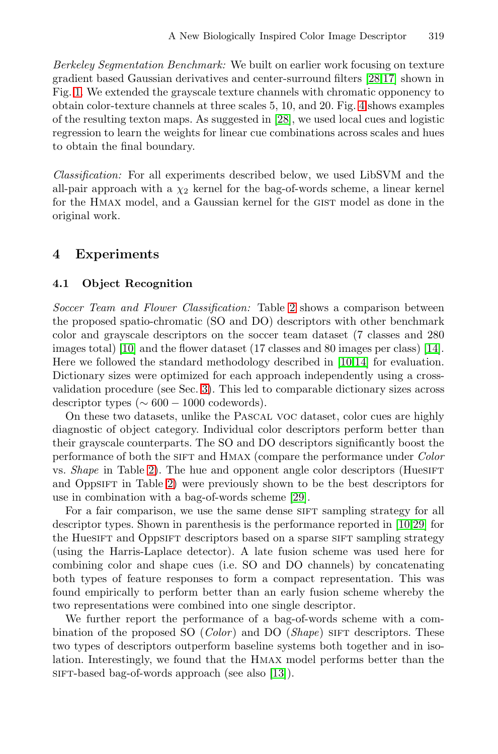<span id="page-7-0"></span>*Berkeley Segmentation Benchmark:* We built on earlier work focusing on texture gradient based Gaussian derivatives and center-surround filters [28,17] shown in Fig. 1. We extended the grayscale texture channels with chromatic opponency to obtain color-texture channels at three scales 5, 10, and 20. Fig. 4 shows examples of the resulting texton maps. As suggested in [28], we used local cues and logistic regression to learn the weights for linear cue combinations across scales and hues to obtain the final boundary.

*Classification:* For all experiments described below, we used LibSVM and the all-pair approach with a  $\chi_2$  kernel for the bag-of-words scheme, a linear kernel for the HMAX model, and a [Ga](#page-8-0)ussian kernel for the GIST model as done in the original work.

## **4 Experiments**

### **4.1 Obje[ct](#page-6-0) Recognition**

*Soccer Team and Flower Classification:* Table 2 shows a comparison between the proposed spatio-chromatic (SO and DO) descriptors with other benchmark color and grayscale descriptors on the soccer team dataset (7 classes and 280 images total) [10] and the flower dataset (17 classes and 80 images per class) [14]. [Her](#page-8-0)e we followed the standard methodology described in [10,14] for evaluation. Dicti[on](#page-8-0)ary sizes were optimized for each approach independently using a crossvalidation procedure (see Sec. [3\).](#page-12-7) This led to comparable dictionary sizes across descriptor types ( $\sim 600 - 1000$  codewords).

On these two datasets, unlike the Pascal voc d[ata](#page-11-6)[set,](#page-12-7) color cues are highly diagnostic of object category. Individual color descriptors perform better than their grayscale counterparts. The SO and DO descriptors significantly boost the performance of both the sift and Hmax (compare the performance under *Color* vs. *Shape* in Table 2). The hue and opponent angle color descriptors (HuesiFT) and OppsIFT in Table 2) were previously shown to be the best descriptors for use in combination with a bag-of-words scheme [29].

For a fair comparison, we use the same dense SIFT sampling strategy for all descriptor types. Shown in parenthesis is the performance reported in [10,29] for the Huesift and Oppsift descriptors based on a sparse sift sampling strategy (using the Harris-Laplace detector). A late fusion scheme was used here for combining color and shap[e c](#page-11-7)ues (i.e. SO and DO channels) by concatenating both types of feature responses to form a compact representation. This was found empirically to perform better than an early fusion scheme whereby the two representations were combined into one single descriptor.

We further report the performance of a bag-of-words scheme with a combination of the proposed SO (*Color*) and DO (*Shape*) sift descriptors. These two types of descriptors outperform baseline systems both together and in isolation. Interestingly, we found that the Hmax model performs better than the sift-based bag-of-words approach (see also [13]).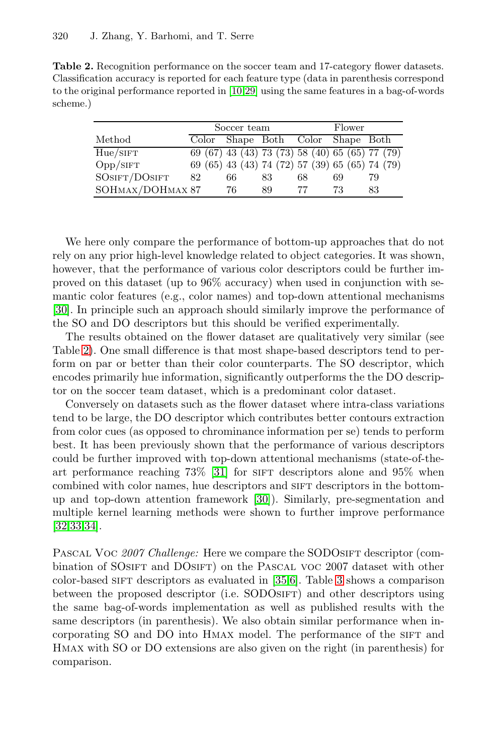<span id="page-8-0"></span>**Table 2.** Recognition performance on the soccer team and 17-category flower datasets. Classification accuracy is reported for each feature type (data in parenthesis correspond to the original performance reported in [10,29] using the same features in a bag-of-words scheme.)

| Soccer team |                  |       | Flower |    |                                                                                                                                   |
|-------------|------------------|-------|--------|----|-----------------------------------------------------------------------------------------------------------------------------------|
|             |                  |       |        |    |                                                                                                                                   |
|             |                  |       |        |    |                                                                                                                                   |
|             |                  |       |        |    |                                                                                                                                   |
| 82          | 66               | 83    | 68     | 69 | 79                                                                                                                                |
|             | 76               | 89    | 77     | 73 | 83                                                                                                                                |
|             | SOHMAX/DOHMAX 87 | Color |        |    | Shape Both Color Shape Both<br>69 (67) 43 (43) 73 (73) 58 (40) 65 (65) 77 (79)<br>69 (65) 43 (43) 74 (72) 57 (39) 65 (65) 74 (79) |

We here only compare the performance of bottom-up approaches that do not rely on any prior high-level knowledge related to object categories. It was shown, however, that the performance of various color descriptors could be further improved on this dataset (up to 96% accuracy) when used in conjunction with semantic color features (e.g., color names) and top-down attentional mechanisms [30]. In principle such an approach should similarly improve the performance of the SO and DO descriptors but this should be verified experimentally.

The results obtained on the flower dataset are qualitatively very similar (see Table 2). One small difference is that most shape-based descriptors tend to perform on par o[r be](#page-12-8)tter than their color counterparts. The SO descriptor, which encodes primarily hue information, significantly outperforms the the DO descriptor on the soccer team [dat](#page-12-9)aset, which is a predominant color dataset.

Conversely on datasets such as the flower dataset where intra-class variations tend to be large, the DO descriptor which contributes better contours extraction from color cues (as opposed to chrominance information per se) tends to perform best. It has been previously shown that the performance of various descriptors could be further improved with top-down attentional mechanisms (state-of-theart performance reaching  $73\%$  $73\%$  $73\%$  [31] for [s](#page-9-0)ign descriptors alone and  $95\%$  when combined with color names, hue descriptors and sift descriptors in the bottomup and top-down attention framework [30]). Similarly, pre-segmentation and multiple kernel learning methods were shown to further improve performance [32,33,34].

PASCAL VOC 2007 Challenge: Here we compare the SODOSIFT descriptor (combination of SOSIFT and DOSIFT) on the PASCAL VOC 2007 dataset with other color-based SIFT descriptors as evaluated in [35,6]. Table 3 shows a comparison between the proposed descriptor (i.e. SODOSIFT) and other descriptors using the same bag-of-words implementation as well as published results with the same descriptors (in parenthesis). We also obtain similar performance when incorporating SO and DO into HMAX model. The performance of the SIFT and Hmax with SO or DO extensions are also given on the right (in parenthesis) for comparison.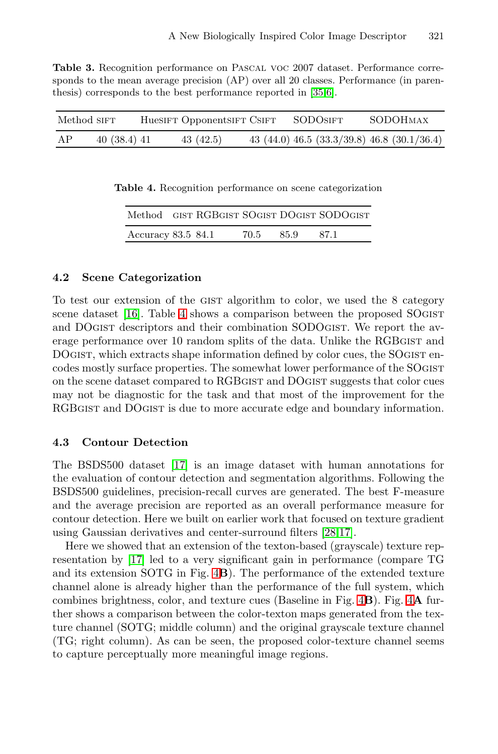<span id="page-9-0"></span>**Table 3.** Recognition performance on Pascal voc 2007 dataset. Performance corresponds to the mean average precision (AP) over all 20 classes. Performance (in parenthesis) corresponds to the best performance reported in [35,6].

| Method SIFT |            | HueSIFT OpponentSIFT CSIFT | SODOSIFT | SODOHMAX                                    |
|-------------|------------|----------------------------|----------|---------------------------------------------|
| AP          | 40(38.4)41 | 43 (42.5)                  |          | 43 (44.0) 46.5 (33.3/39.8) 46.8 (30.1/36.4) |

**Table 4.** Recognition performance on scene categorization

|                    |  |      |      | Method GIST RGBGIST SOGIST DOGIST SODOGIST |
|--------------------|--|------|------|--------------------------------------------|
| Accuracy 83.5 84.1 |  | 70.5 | 85.9 | -87.1                                      |

### **4.2 Scene Categorization**

To test our extension of the gist algorithm to color, we used the 8 category scene dataset [16]. Table 4 shows a comparison between the proposed SOgist and DOgist descriptors and their combination SODOgist. We report the average performance over 10 random splits of the data. Unlike the RGBGIST and DOGIST, which extracts shape information defined by color cues, the SOGIST encodes mostly surface properties. The somewhat lower performance of the SOgist on the scene dataset compared to RGBgist and DOgist suggests that color cues may not be diagnostic for the task and that most of the improvement for the RGBGIST and DOGIST is due to more accurate edge and boundary information.

### **4.3 Contour Detection**

[T](#page-12-1)he BSDS50[0 d](#page-10-0)ataset [17] is an image dataset with human annotations for the evaluation of contour detection and segmentation algorithms. Following the BSDS500 guidelines, precision-recall curves [ar](#page-10-0)e gener[at](#page-10-0)ed. The best F-measure and the average precision are reported as an overall performance measure for contour detection. Here we built on earlier work that focused on texture gradient using Gaussian derivatives and center-surround filters [28,17].

Here we showed that an extension of the texton-based (grayscale) texture representation by [17] led to a very significant gain in performance (compare TG and its extension SOTG in Fig. 4**B**). The performance of the extended texture channel alone is already higher than the performance of the full system, which combines brightness, color, and texture cues (Baseline in Fig. 4**B**). Fig. 4**A** further shows a comparison between the color-texton maps generated from the texture channel (SOTG; middle column) and the original grayscale texture channel (TG; right column). As can be seen, the proposed color-texture channel seems to capture perceptually more meaningful image regions.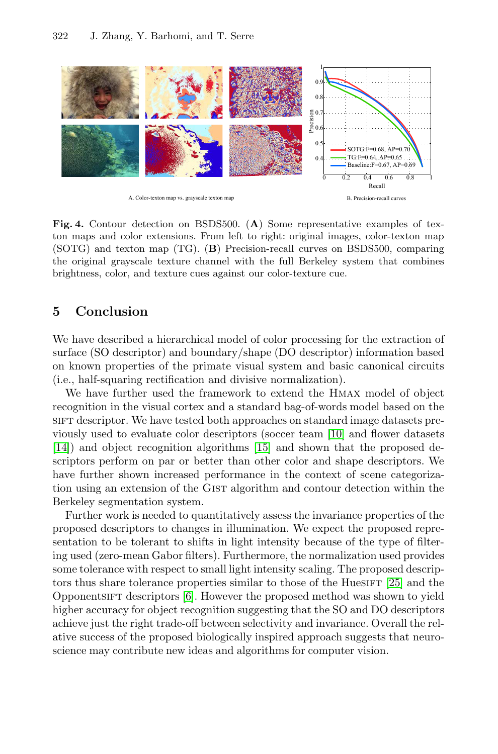<span id="page-10-0"></span>

**Fig. 4.** Contour detection on BSDS500. (**A**) Some representative examples of texton maps and color extensions. From left to right: original images, color-texton map (SOTG) and texton map (TG). (**B**) Precision-recall curves on BSDS500, comparing the original grayscale texture channel with the full Berkeley system that combines brightness, color, and texture cues against our color-texture cue.

# **5 Conclusion**

We have described a hi[era](#page-11-8)rchical mod[el](#page-11-6) [o](#page-11-6)f color processing for the extraction of surface (SO descriptor) and boundary/shape (DO descriptor) information based on known properties of the primate visual system and basic canonical circuits (i.e., half-squaring rectification and divisive normalization).

We have further used the framework to extend the Hmax model of object recognition in the visual cortex and a standard bag-of-words model based on the sift descriptor. We have tested both approaches on standard image datasets previously used to evaluate color descriptors (soccer team [10] and flower datasets [14]) and object recognition algorithms [15] and shown that the proposed descriptors perform on par or better than other color and shape descriptors. We have further shown increased performance in th[e co](#page-12-11)ntext of scene categorization usin[g](#page-11-2) an extension of the GIST algorithm and contour detection within the Berkeley segmentation system.

Further work is needed to quantitatively assess the invariance properties of the proposed descriptors to changes in illumination. We expect the proposed representation to be tolerant to shifts in light intensity because of the type of filtering used (zero-mean Gabor filters). Furthermore, the normalization used provides some tolerance with respect to small light intensity scaling. The proposed descriptors thus share tolerance properties similar to those of the Hues $IFT$  [25] and the Opponentsift descriptors [6]. However the proposed method was shown to yield higher accuracy for object recognition suggesting that the SO and DO descriptors achieve just the right trade-off between selectivity and invariance. Overall the relative success of the proposed biologically inspired approach suggests that neuroscience may contribute new ideas and algorithms for computer vision.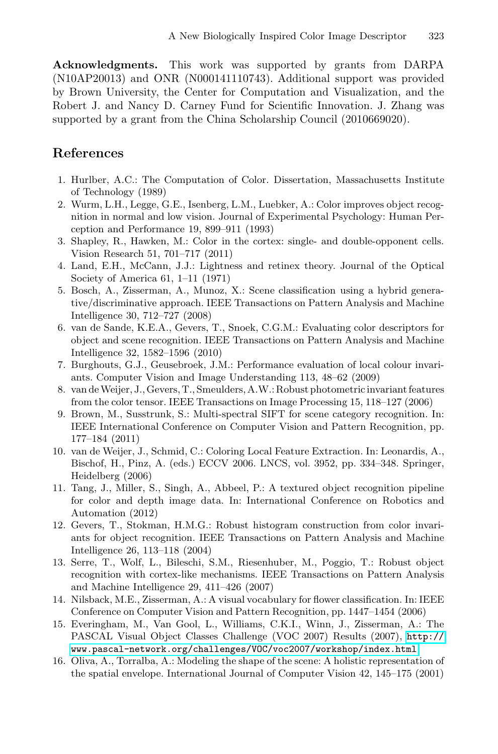<span id="page-11-1"></span><span id="page-11-0"></span>**Acknowledgments.** This work was supported by grants from DARPA (N10AP20013) and ONR (N000141110743). Additional support was provided by Brown University, the Center for Computation and Visualization, and the Robert J. and Nancy D. Carney Fund for Scientific Innovation. J. Zhang was supported by a grant from the China Scholarship Council (2010669020).

# <span id="page-11-2"></span>**References**

- <span id="page-11-3"></span>1. Hurlber, A.C.: The Computation of Color. Dissertation, Massachusetts Institute of Technology (1989)
- <span id="page-11-4"></span>2. Wurm, L.H., Legge, G.E., Isenberg, L.M., Luebker, A.: Color improves object recognition in normal and low vision. Journal of Experimental Psychology: Human Perception and Performance 19, 899–911 (1993)
- <span id="page-11-6"></span>3. Shapley, R., Hawken, M.: Color in the cortex: single- and double-opponent cells. Vision Research 51, 701–717 (2011)
- 4. Land, E.H., McCann, J.J.: Lightness and retinex theory. Journal of the Optical Society of America 61, 1–11 (1971)
- 5. Bosch, A., Zisserman, A., Munoz, X.: Scene classification using a hybrid generative/discriminative approach. IEEE Transactions on Pattern Analysis and Machine Intelligence 30, 712–727 (2008)
- <span id="page-11-5"></span>6. van de Sande, K.E.A., Gevers, T., Snoek, C.G.M.: Evaluating color descriptors for object and scene recognition. IEEE Transactions on Pattern Analysis and Machine Intelligence 32, 1582–1596 (2010)
- <span id="page-11-7"></span>7. Burghouts, G.J., Geusebroek, J.M.: Performance evaluation of local colour invariants. Computer Vision and Image Understanding 113, 48–62 (2009)
- 8. van deWeijer, J., Gevers, T., Smeulders, A.W.: Robust photometric invariant features from the color tensor. IEEE Transactions on Image Processing 15, 118–127 (2006)
- <span id="page-11-8"></span>9. Brown, M., Susstrunk, S.: Multi-spectral SIFT for scene category recognition. In: IEEE International Conference on Computer Vision and Pattern Recognition, pp. 177–184 (2011)
- <span id="page-11-9"></span>10. van de Weijer, J., Schmid, C.: Coloring Local Feature Extraction. In: Leonardis, A., Bischof, H., Pinz, A. (eds.) ECCV 2006. LNCS, vol. 3952, pp. 334–348. Springer, Heidelberg (2006)
- 11. Tang, J., Miller, S., Singh, A., Abbeel, P.: A textured object recognition pipeline for color and depth image data. In: International Conference on Robotics and Automation (2012)
- 12. Gevers, T., Stokman, H.M.G.: Robust histogram construction from color invariants for object recognition. IEEE Transactions on Pa[ttern](http://www.pascal-network.org/challenges/VOC/voc2007/workshop/index.html) [An](http://www.pascal-network.org/challenges/VOC/voc2007/workshop/index.html)alysis and Machine [Intelligence](http://www.pascal-network.org/challenges/VOC/voc2007/workshop/index.html) [26,](http://www.pascal-network.org/challenges/VOC/voc2007/workshop/index.html) [113–118](http://www.pascal-network.org/challenges/VOC/voc2007/workshop/index.html) [\(2004\)](http://www.pascal-network.org/challenges/VOC/voc2007/workshop/index.html)
- 13. Serre, T., Wolf, L., Bileschi, S.M., Riesenhuber, M., Poggio, T.: Robust object recognition with cortex-like mechanisms. IEEE Transactions on Pattern Analysis and Machine Intelligence 29, 411–426 (2007)
- 14. Nilsback, M.E., Zisserman, A.: A visual vocabulary for flower classification. In: IEEE Conference on Computer Vision and Pattern Recognition, pp. 1447–1454 (2006)
- 15. Everingham, M., Van Gool, L., Williams, C.K.I., Winn, J., Zisserman, A.: The PASCAL Visual Object Classes Challenge (VOC 2007) Results (2007), http:// www.pascal-network.org/challenges/VOC/voc2007/workshop/index.html
- 16. Oliva, A., Torralba, A.: Modeling the shape of the scene: A holistic representation of the spatial envelope. International Journal of Computer Vision 42, 145–175 (2001)